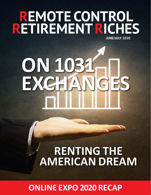## **REMOTE CONTROL RETIREMENT RICHES JUNE/JULY 2020**

# **ON 1031 EXC**

## **RENTING THE AMERICAN DREAM**

**ONLINE EXPO 2020 RECAP**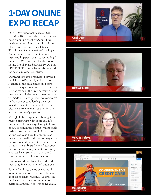## **1-DAY ONLINE EXPO RECAP**

Our 1-Day Expo took place on Saturday May 16th. It was the first time it has been an online event by Zoom. Hundreds attended. Attendees joined from other countries, and other US states. That is one of the benefits of having a Zoom event. However, not being able to meet you in person was not something I preferred. We shortened the day to four hours. It took place between 10AM and 2PM PST. That time frame also worked for people in other countries.

Our market teams presented. I covered the COVID-19 period, and what we are learning as the data comes in. There were many questions, and we tried to answer as many as the time permitted. Our team copied all the texted questions, and we made sure any question was answered in the week or so following the event. Whether or not you were at the event, please feel free to email us questions at any time to info@icgre.com.

Mary Jo Lafaye explained about getting reverse mortgage, with some real life examples. This is always handy to know about, as sometimes people want to build cash reserve or have credit lines, as well as improve cash flow. Joe Merante addressed our credit and how we may want to preserve and protect it in the face of a crisis. Attorney Brett Lytle talked about the correct ways to go about protecting what we have, entity formation, and insurance as the first line of defense.

I summarized the day at the end, and took a significant amount of questions.

For our first large online event, we all found it to be informative and pleasing. Your feedback is welcome. We are looking forward to our next online Zoom event on Saturday, September 12, 2020.







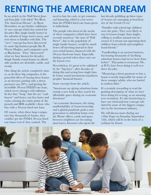## **RENTING THE AMERICAN DREAM**

In an article in the Wall Street Journal from July 11th titled "For Rent: The American Dream", by Ryan Dezember, we get further validation of our concept which has existed for decades: Buy single family homes in the suburbs of large metro areas, and rent them to families with kids. The "new" concept has been discovered by some big business people like B. Wayne Hughes, and companies such as Blackstone. They "discovered" what we have known for decades: Single Family rental homes in affordable markets are desirable, stable, and steady.

One thing the article completely misses, as do these big companies, is the powerful effect of buying these homes as an investor, putting only a down payment (say, 20%), and getting the incredible 30-year FIXED rate loan, which never changes with inflation. In fact they "brag" that the are "cash buyers" and hence can buy faster and easier, missing the entire point of the growth and IRR available t those who buy with a 30-year fixed rate loan.

Of course, when these large companies buy thousands of homes, they couldn't get the FNMA 30-year fixed rate loans even if they wanted. The

need to buy for cash, or get commercial financing, which is a lot worse than the FNMA fixed rate loans given to individuals.

The people who invest in the stocks of these companies (which have been recently touted as "the stars of Wall Street", due to the popularity of single family homes), would be much better off investing instead in their own rental homes, financed with the 30-year fixed-rate loans. Especially during a period when these rates are the lowest ever.

Nevertheless, it's great to be validated by the "big boys", after decades of doing this and seeing how single family home rental investments transform peoples' financial futures.

Some excerpts from the article:

"Americans are giving suburban home rentals a new look as they search for affordable space during an economic downturn"

"an economic downturn, the rising unaffordability of homeownership and a global pandemic push a new generation to suburban home rentals. Home offices, yards and space between neighbors are becoming must haves. Investors who spent the last decade gobbling up these types of houses are emerging as beneficiaries of the Covid-19 era"

"Families with school-age children were the prize. They were likely to stay in houses longer than singles, willing to swallow annual rent increases if it meant not uprooting their children from schools and neighborhood friends."

"Landlording is an ancient business, but leasing thousands of far-flung suburban houses had never been done before". This point is erroneous. We, at ICG, have been doing it well over three decades.

"Mustering a down payment to buy a house is nearly impossible for many of these younger adults, who are buried in student debt."

It's certainly rewarding to read the gushing description of what we have been doing for so long, as an amazing new revelation. It's also heartening to have our tried-and-true concept validated by some of the biggest companies in the investment industry.

We will discuss more during our 1-Day Expo on Saturday September 12th, which will be in the form of a webinar by Zoom.

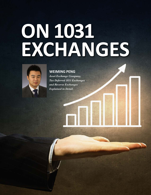## **ON 1031 EXCHANGES**



**WEIMING PENG**

*Asset Exchange Company, Tax Deferred 1031 Exchanges and Reverse Exchanges Explained in Detail.*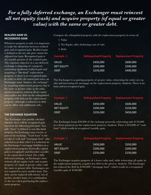#### *For a fully deferred exchange, an Exchanger must reinvest all net equity (cash) and acquire property (of equal or greater value) with the same or greater debt.*

#### **REALIZED GAIN VS. RECOGNIZED GAIN**

Whenever property is sold, it is important to make the distinction between realized gain and recognized gain. Realized gain is defined as the net sale price minus the adjusted tax basis. Recognized gain is the taxable portion of the realized gain. The common objective in a tax deferred exchange is disposing of a property containing significant realized gain and acquiring a "like-kind" replacement property so there is no recognized gain. In order to defer all capital gain taxes, an Exchanger must "balance the exchange" by acquiring replacement property that is the same or greater value as the relinquished property, reinvest all net equity and replace any debt on the relinquished property with debt on the replacement property (although a reduction in debt can be offset with additional cash.)

#### **THE EXCHANGE EQUATION**

The Exchanger can quickly calculate whether there will be recognized gain based on the following principals: Taxable "boot" is defined as non like-kind property the Exchanger may receive as part of an exchange. "Cash boot" is the receipt of cash and "mortgage boot" (also referred to as debt relief) is a reduction in the Exchanger's mortgage liabilities on a replacement property. Generally, capital gain is recognized (and therefore taxable) to the extent there is boot. For a fully deferred exchange, an Exchanger must reinvest all net equity (cash) and acquire property (of equal or greater value) with the same or greater debt. Exchangers are not required to carry another loan. The debt can be replaced with money out of pocket, another loan, or a combination of the two when purchasing the replacement property.

Compare the relinquished property with the replacement property in terms of:

1. Value

- 2. Net Equity (after deducting costs of sale)
- 3. Debt

| Example 1         |           | <b>Relinguished Property Replacement Property</b> |
|-------------------|-----------|---------------------------------------------------|
| VALUE             | \$450,000 | \$600,000                                         |
| <b>NET EQUITY</b> | \$200,000 | \$200,000                                         |
| DEBT              | \$250,000 | \$400,000                                         |

The Exchanger is acquiring property of greater value, reinvesting the entire net equity and increasing the mortgage on the replacement property. Analysis: There is no boot and no recognized gain.

| <b>Example 1</b>  |           | <b>Relinquished Property Replacement Property</b> |
|-------------------|-----------|---------------------------------------------------|
| VALUE             | \$450,000 | \$600,000                                         |
| <b>NET EQUITY</b> | \$200,000 | 5150,000                                          |
| <b>DEBT</b>       | \$250,000 | \$450,000                                         |
|                   |           |                                                   |

The Exchanger keeps \$50,000 of the exchange proceeds, reinvesting only \$150,000 as a down payment on the replacement property. Analysis: There is \$50,000 of "cash boot" which results in recognized (taxable) gain.

| Example 1   | <b>Relinquished Property</b> | <b>Replacement Property</b> |
|-------------|------------------------------|-----------------------------|
| VALUE.      | \$450,000                    | \$350,000                   |
| NET EQUITY  | \$200,000                    | \$200,000                   |
| <b>DFBT</b> | \$250,000                    | \$150,000                   |

The Exchanger acquires property of a lower value and, while reinvesting all equity in the replacement property, acquires less debt in the process. Analysis: The Exchanger has reduced the debt by \$100,000 ("mortgage boot") which results in a recognized (taxable) gain of \$100,000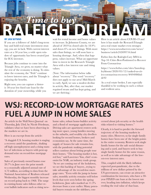

#### **BY JAN WYNNS**

If you are a follower of Adiel's long-term buy and hold real estate investment strategy, you are in luck. With current interest rates at a 50 year low, a wide open window of opportunity has been created just for ICG investors.

Because jobs continue to come into the Triangle Area, we grow, no matter what the rest of the economy is doing. To stimulate the economy, the "Feds" continue to lower interest rates, and the Triangle is enjoying the benefits.

Right now, you can capture a historic 50-year low fixed rate loan for the duration of your ownership, while you wait for rental income and home values to increase. In Johnston County, we are ahead of 2019 in closed sales by 18.9% and down 6% on new listings. With more sales than listings, we will soon have a housing shortage. And, when that happens, values increase. What an opportune time to invest in the Research Triangle Area with a low interest rate and rising values.

(Note: The information below talks about "recovery." The word "recovery" does not apply to our area! Mid-March to early April, we saw a modest decline in activity. But, after that, our market regained steam and has kept going, and we are thriving.)

Here is an article about COVID-19 and how it has made the ResearchTriangle area real estate market even stronger. https://www.newsobserver.com/news/ business/article242699716.html

Forbes lists the Raleigh-Cary MSA in Top 10: Cities Best-Positioned to Recover From Coronavirus

https://www.forbes.com/sites/laurabegleybloom/2020/05/12/ranked-us-cities-coronavirus-recovery/#494986bdde92

As a real estate broker, I am especially thankful to be working in such a robust and resilient area.

### **WSJ: RECORD-LOW MORTGAGE RATES FUEL A JUMP IN HOME SALES**

An article in the Wall Street Journal on Thursday, July 23rd, by Nicole Friedman, validates what we have been observing in the markets we are in.

Here is an excerpt from the article:

"A sluggish U.S. housing market is staging a recovery amid the pandemic, shaking off high unemployment and a rising number of infections as buyers with pent-up demand seize on record-low mortgage rates.

Sales of previously owned homes rose 20.7% in June over the prior month to a seasonally adjusted annual rate of 4.72 million, according to data from the National Association of Realtors released Wednesday, the biggest monthly increase on record going back to 1968. The surge in existing-home sales follows other recent bullish indicators such as rising newhome sales, robust home-builder activity and a flood of mortgage applications. Driving sales are apartment renters seeking more space, young families moving to the suburbs, and wealthy city dwellers looking for second homes, brokers and economists say. At the same time, the supply of houses for sale remains low, with the pandemic making potential sellers cautious about letting people tour their homes. "The housing market is hot, red hot," said Lawrence Yun, chief economist for NAR, an industry trade group. "As we are coming out of the lockdown, we see this backlog of buyers...trying to take advantage of the record-low mortgage rates. "Even with the jump in home sales, monthly activity remains well below levels that were seen before the spring lockdowns. June sales marked an 11.3% decrease from a year earlier. Many potential buyers remain on the sidelines, concerned about job security or the health risks related to visiting homes."

Clearly, it is hard to predict the forward trajectory of the housing markets in many cities. However, so far single family homes have been one of the bright points in the entire economy. Renters seek single family homes for the safe social distancing and a yard, and buyers seek to buy single family homes for the same reason, as well as to take advantage of the lowest-ever interest rates.

This, coupled with the likely inflation expected post-pandemic, due to the trillions of new dollars printed by the US government, can create an attractive combination for investors, who have a 30 year FIXED rate loan at the lowest rate ever, heading into inflation, which keeps eroding the real value of that loan.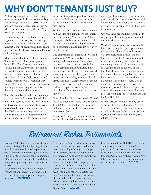## **WHY DON'T TENANTS JUST BUY?**

A classic question I have been getting over the decades is: If the homes we buy are starting at as low as \$150,000 brand new, why are our tenants renting them, when they can simply buy them? Why would anyone rent?

We ask this question, and it seems so logical to us. However, we are already investors, or want to be investors, so our mindset is that of an investor. I, for example, think of the 30-year fixed rate loan as a financial gift.

Many people don't think like investors. They don't think that a mortgage can be a "gift". They look at a mortgage as enslaving debt. Many people are not in an investor's mindset, and they prefer renting for many reasons. One such reason is flexibility, the ability to move and change where they live whenever they want. They look at buying a home as too limiting and something that will force them to stay put and not move.

The Millennials especially, in percentages, have been avid renters. Statistically they don't seem to have the same affinity for buying as previous generation. One reason could be that they experienced the 2008 crash when they were young, and thus they don't necessarily think of buying a home as a safe transaction, or

as the most important purchase they will ever make. Millennials may also subscribe to the "nomad" spirit of flexibility in movement.

Student debt has been a burden on many, and the idea of adding more debt might not be appealing. Yes, for us this 30-year fixed-rate debt is a strong financial tool. For most, it is not something they have been educated on, and it is not how they may look at it.

We, as investors, are already likely "good with money". We are likely working, saving, and have enough for a down payment or several. Many people live in a different financial universe. They may not save much, and they may spend what they earn. Overall, they may not be investment and savings oriented. This is pretty common. A large group of people who live like this, may not have enough cash saved up for a down payment, regardless of how low the down payment may be.

Overall in the US, approximately 35% of the population are renters. That is about 115,000,000 people. The US has always had a large number of tenants relative to other countries.

There could be people who inherently are only interested in renting, such as a

visiting professor, or an engineer or other professional who was sent to a branch of the company in another city for a couple of year. These people, by definition, seek to be renters.

Overall, there are multiple reasons as to why people choose to be renters, whether they can afford to buy or not.

We don't lack for renters at any time (I have been doing this for 37 years now). Currently, as I have discussed before, we have been getting steady reports that people specifically seek to rent out single family homes, since these give then adequate social distancing, as well as a yard to roam in the case of further lock-downs. Paradoxically, it seems that renters for our single family homes have become more abundant due to the pandemic. Nevertheless, even after the pandemic subsides, the reasons given in this article, as well as historic experience, show us that tenants are quite likely not to be scarce in large metropolitan areas in the Sun Belt states.

We will discuss this issue, among others, at our next Expo, on Saturday, September 12th, via Zoom. Everyone is invited to register for free (either on our website: icgre.com/events, or by emailing us at info@icgre.com).

### Retirement Riches Testimonials

I've used Adiel Gorel's group for the purchase of 6 single family dwellings in the past. I have had only good experiences with them—they find very good realtors who know their markets (and understand what investors are looking for) and they line property management companies up for you.

I would say that if you are looking for a "hands-off approach" to buy and hold RE investing, his group is a very good resource. **— STEPHEN R.** 

Adiel was the "guru" who was my inspiration for buying my first rental investment, which I got through his company. I have subsequently bought others elsewhere, but none went as smoothly as it did with his outfit. I have on occasion turned to him for advice on properties that he had nothing to do with, and he couldn't have been more helpful. I have dealt with many other real estate "experts" since--Adiel remains my favorite. He walks the talk. For any who want to get into real estate investment but want solid assistance, I can't recommend anyone higher. **— WADE H.**

I have attended two ICGRE Expo's and done a couple of market tours. I have purchased 2 properties and am in contract on two more with realtors I met through Adiel. I don't think I would have taken the big step to buy my first property if it wasn't for him. **— DENISE L.**